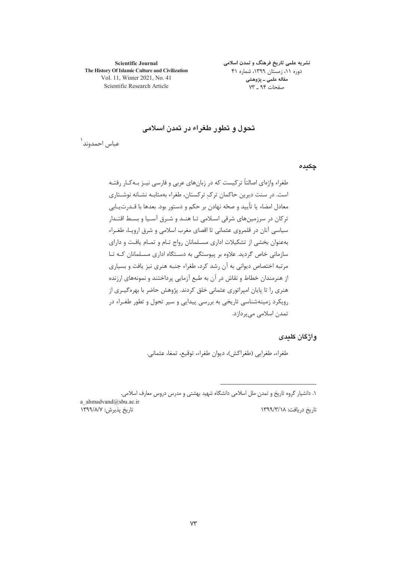**Scientific Journal** The History Of Islamic Culture and Civilization Vol. 11, Winter 2021, No. 41 Scientific Research Article

نشریه علمی تاریخ فرهنگ و تمدن اسلامی دوره ۱۱، زمستان ۱۳۹۹، شماره ۴۱ مقاله علمی ــ پژوهشی صفحات ۹۴ ـ ۷۳

# تحول و تطور طغراء در تمدن اسلامی

عباس احمدوند<sup>\</sup>

چکیدہ

طغراء واژهای اصالتاً ترکیست که در زبانهای عربی و فارسی نیـز بـهکـار رفتـه است. در سنت دیرین حاکمان ترک ترکستان، طغراء بهمثابـه نشـانه نوشـتاری معادل امضاء يا تأييد و صحّه نهادن بر حكم و دستور بود. بعدها با قــدرت1يـابي ترکان در سرزمینهای شرقی اسـلامی تـا هنـد و شـرق آسـیا و بسـط اقتـدار سیاسی آنان در قلمروی عثمانی تا اقصای مغرب اسلامی و شرق ارویـا، طغـراء بهعنوان بخشی از تشکیلات اداری مسلمانان رواج تـام و تمـام یافـت و دارای سازمانی خاص گردید. علاوه بر پیوستگی به دستگاه اداری مسلمانان کـه تـا مرتبه اختصاص دیوانی به آن رشد کرد، طغراء جنبه هنری نیز یافت و بسیاری از هنرمندان خطاط و نقاش در آن به طبع آزمایی پرداختند و نمونههای ارزنده هنری را تا پایان امپراتوری عثمانی خلق کردند. پژوهش حاضر با بهرهگیـری از رویکرد زمینهشناسی تاریخی به بررسی پیدایی و سیر تحول و تطور طغـراء در تمدن اسلامی می پردازد.

واژگان کلیدی

طغراء، طغرايي (طغراكش)، ديوان طغراء، توقيع، تمغا، عثماني.

a ahmadvand@sbu.ac.ir تاريخ پذيرش: ١٣٩٩/٨/٧

تاریخ دریافت: ۱۳۹۹/۳/۱۸

۱. دانشیار گروه تاریخ و تمدن ملل اسلامی دانشگاه شهید بهشتی و مدرس دروس معارف اسلامی.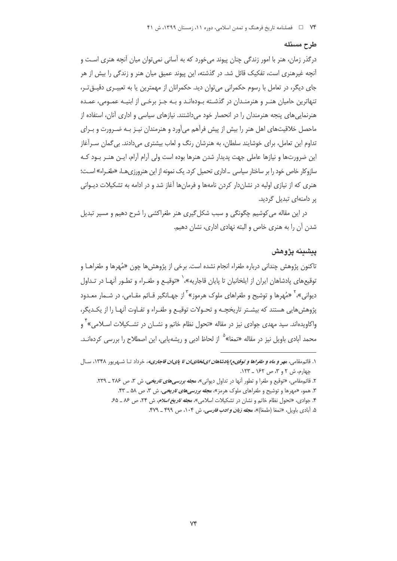#### طرح مسئله

درگذر زمان، هنر با امور زندگی چنان پیوند می خورد که به آسانی نمی توان میان آنچه هنری اسـت و آنچه غیرهنری است، تفکیک قائل شد. در گذشته، این پیوند عمیق میان هنر و زندگی را بیش از هر جای دیگر، در تعامل با رسوم حکمرانی می توان دید. حکمرانان از مهمترین یا به تعبیـری دقیــق تـر، تنهاترین حامیان هنـر و هنرمنـدان در گذشـته بـودهانـد و بـه جـز برخـی از ابنیـه عمـومی، عمـده هنرنمایی های پنجه هنرمندان را در انحصار خود می داشتند. نیازهای سیاسی و اداری آنان، استفاده از ماحصل خلاقیتهای اهل هنر را بیش از پیش فرآهم میآورد و هنرمندان نیـز بـه ضـرورت و بـرای تداوم این تعامل، برای خوشایند سلطان، به هنرشان رنگ و لعاب بیشتری میدادند. بی گمان سـرآغاز این ضرورتها و نیازها عاملی جهت پدیدار شدن هنرها بوده است ولی آرام آرام، ایـن هنـر بـود کـه سازوکار خاص خود را بر ساختار سیاسی \_اداری تحمیل کرد. یک نمونه از این هنرورزیهـا، «طغـراء» اسـت؛ هنری که از نیازی اولیه در نشاندار کردن نامهها و فرمانها آغاز شد و در ادامه به تشکیلات دیــوانی پر دامنهای تبدیل گردید.

در این مقاله می کوشیم چگونگی و سبب شکل گیری هنر طغراکشی را شرح دهیم و مسیر تبدیل شدن آن را به هنری خاص و البته نهادی اداری، نشان دهیم.

## يىشىنە يژوهش

تاكنون پژوهش چنداني درباره طغراء انجام نشده است. برخي از پژوهش ها چون «مُهرها و طغراهـا و توقیعهای یادشاهان ایران از ایلخانیان تا پایان قاجاریه»، ٰ «توقیـع و طغـراء و تطـور آنهـا در تـداول دیوانی»،<sup>۲</sup> «مُهرها و توشیح و طغراهای ملوک هرموز»<sup>۳</sup> از جهـانگیر قـائم مقـامی، در شـمار م*ع*ـدود پژوهش هایی هستند که بیشـتر تاریخچـه و تحـولات توقیـع و طغـراء و تفـاوت آنهـا را از یکـدیگر، واکاویدهاند. سید مهدی جوادی نیز در مقاله «تحول نظام خاتم و نشــان در تشــکیلات اســلامی»<sup>۲</sup> و محمد آبادی باویل نیز در مقاله «تمغا»<sup>۵</sup> از لحاظ ادبی و ریشهیابی، این اصطلاح را بررسی کردهانـد.

۱. قائ<sub>م</sub>مقامی، م*هر و ماه و طغراها و توقیع بایادشاهان ایلخانیان تا پایان قاجاریه،* خرداد تــا شـهریور ۱۳۴۸، ســال چهارم، ش ۲ و ۳، ص ۱۶۲ \_ ۱۲۳.

۲. قائم.مقامی، «توقیع و طغرا و تطور آنها در تداول دیوانی»، م*جله بررسیهای تاریخی،* ش ۳، ص ۲۸۶ ـ ۲۳۹. ۳. همو، «مهرها و توشیح و طغراهای ملوک هرمز»، *مجله بررسی های تاریخی،* ش ۳، ص ۵۸ ـ ۴۳.

۴. جوادی، «تحول نظام خاتم و نشان در تشکیلات اسلامی»، *مجله تاریخ اسلام*، ش ۲۴، ص ۸۶ ـ ۶۵.

۵. أبادي باويل، «تمغا (طمغا)»، م*جله زبان و ادب فارسي،* ش ۱۰۴، ص ۴۹۹ ــ ۴۷۹.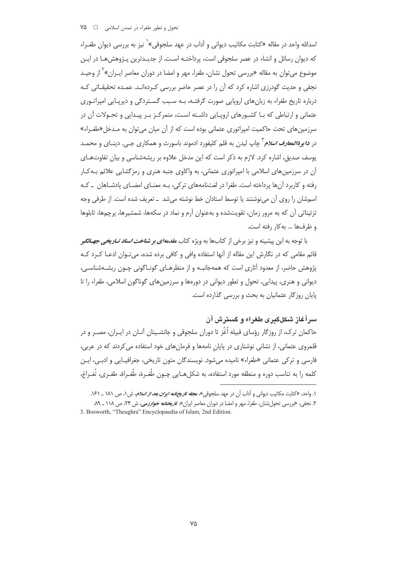اسدالله واحد در مقاله «کتابت مکاتیب دیوانی و آداب در عهد سلجوقی»<sup>\</sup> نیز به بررسی دیوان طغــراء که دیوان رسائل و انشاء در عصر سلجوقی است، پرداختـه اسـت. از جدیـدترین پـژوهش۱مـا در ایـن موضوع می توان به مقاله «بررسی تحول نشان، طغرا، مهر و امضا در دوران معاصر ایـران»<sup>۲</sup> از وحیـد نجفی و حدیث گودرزی اشاره کرد که آن را در عصر حاضر بررسی کـردهانـد. عمـده تحقیقـاتی کـه درباره تاریخ طغراء به زبانهای اروپایی صورت گرفتـه، بـه سـبب گسـتردگی و دیرپـایی امپراتـوری عثمانی و ارتباطی که بـا کشـورهای اروپـایی داشـته اسـت، متمرکـز بـر پیـدایی و تحـولات آن در سرزمینهای تحت حاکمیت امپراتوری عثمانی بوده است که از آن میان می توان به مـدخل«طغـراء» در *دايرةالمعارف اسلام* <sup>7</sup> چاپ ليدن به قلم كليفورد ادموند باسورث و همكاري چـي. دينــاي و محمــد بوسف صدیق، اشاره کرد. لازم به ذکر است که این مدخل علاوه بر ریشهشناسی و بیان تفاوتهای آن در سرزمین های اسلامی با امپراتوری عثمانی، به واکاوی جنبه هنری و رمزگشایی علائم بـه کـار رفته و کاربرد آنها پرداخته است. طغرا در لغتنامههای ترکی، بـه معنــای امضــای پادشــاهان \_ کـه اسمشان را روی آن می،نوشتند یا توسط استادان خط نوشته میشد \_ تعریف شده است. از طرفی وجه تزئیناتی آن که به مرور زمان، تقویتشده و بهعنوان آرم و نماد در سکهها، شمشیرها، پرچمها، تابلوها و ظرفها ... به كار رفته است.

با توجه به این پیشینه و نیز برخی از کتابها به ویژه کتاب *مقدمهای بر شناخت اسناد تـاریخی جهـانگیر* قائم مقامی که در نگارش این مقاله از آنها استفاده وافی و کافی برده شده، می تـوان ادعـا کـرد کـه پژوهش حاضر، از معدود آثاری است که همهجانبـه و از منظرهـای گونـاگونی چـون ریشـهشناسـی، دیوانی و هنری، پیدایی، تحول و تطور دیوانی در دورهها و سرزمینهای گوناگون اسلامی، طغراء را تا یایان روزگار عثمانیان به بحث و بررسی گذارده است.

# سر آغاز شکلگیری طغراء و گسترش آن

حاکمان ترک، از روزگار رؤسای قبیله اُغُز تا دوران سلجوقی و جانشـینان آنـان در ایـران، مصـر و در قلمروی عثمانی، از نشانی نوشتاری در پایان نامهها و فرمانهای خود استفاده می کردند که در عربی، فارسی و ترکی عثمانی «طغراء» نامیده می شود. نویسندگان متون تاریخی، جغرافیـایی و ادبــی، ایــن كلمه را به تناسب دوره و منطقه مورد استفاده، به شكلهـايي چـون طُغـرة، طُغـراة، طغـري، تُغـراغ،

۱. واحد، «كتابت مكاتيب ديواني و آداب آن در عهد سلجوقي»، م*جله تاريخ نامه ايران بعد از اسلام،* ش ۱، ص ۱۸۱ \_ ۱۶۱.

۲. نجفی، «بررسی تحول نشان، طغرا، مهر و امضا در دوران معاصر ایران»، *تاریخنامه خوارزمی*، ش ۲۴، ص ۱۱۸ ــ ۸۹ 3. Bosworth, "Theughra" Encyclopaedia of Islam, 2nd Edition.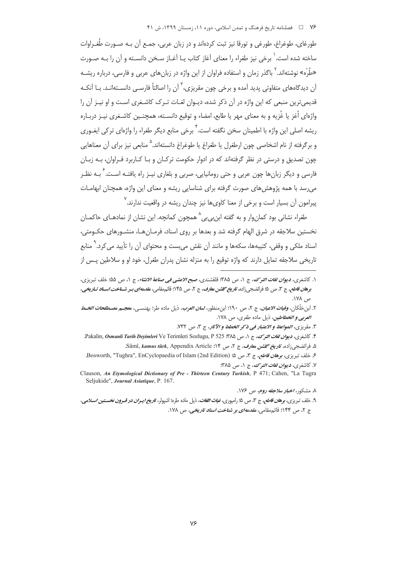طورغای، طوغراغ، طورغی و تورقا نیز ثبت کردهاند و در زبان عربی، جمـع آن بـه صـورت طُغـراوات ساخته شده است. ٰ برخی نیز طغراء را معنای آغاز کتاب پـا آغـاز سـخن دانسـته و آن را بـه صـورت «طُرِّه» نوشتهاند. <sup>۲</sup> باگذر زمان و استفاده فراوان از این واژه در زبان های عربی و فارسی، درباره ریشـه آن دیدگاههای متفاوتی پدید آمده و برخی چون مقریزی، ۱ّ آن را اصالتاً فارسے , دانسـتهانـد. بــا آنکــه ۔<br>قدیم ترین منبعی که این واژه در آن ذکر شده، دیـوان لغـات تـرک کاشـغری اسـت و او نیـز آن را واژهای اُغز یا غُزیه و به معنای مهر یا طابع، امضاء و توقیع دانسـته، همچنـین کاشـغری نیـز دربـاره ریشه اصلی این واژه با اطمینان سخن نگفته است.<sup>۴</sup> برخی منابع دیگر طغراء را واژهای ترکی ای*غ*ـوری و برگرفته از نام اشخاصی چون ارطغرل یا طغراغ یا طوغراغ دانستهاند.<sup>۵</sup> منابعی نیز برای آن معناهایی چون تصدیق و درستی در نظر گرفتهاند که در ادوار حکومت ترکـان و بـا کـاربرد فـراوان، بـه زبـان فارسی و دیگر زبانِها چون عربی و حتی رومانیایی، صربی و بلغاری نیـز راه یافتـه اسـت. <sup>۶</sup> بـه نظـر می رسد با همه پژوهش های صورت گرفته برای شناسایی ریشه و معنای این واژه، همچنان ابهامــات پیرامون آن بسیار است و برخی از معنا کاویها نیز چندان ریشه در واقعیت ندارند.<sup>۷</sup>

طغراء نشانی بود کمان,وار و به گفته ابن<u>,بی بی</u>^ همچون کمانچه. این نشان از نمادهـای حاکمـان نخستین سلاجقه در شرق الهام گرفته شد و بعدها بر روی اسناد، فرمـان هـا، منشـورهای حکـومتی، اسناد ملکی و وقفی، کتیبهها، سکهها و مانند آن نقش میبست و محتوای آن را تأیید می کرد.<sup>۹</sup> منابع تاریخی سلاجقه تمایل دارند که واژه توقیع را به منزله نشان پدران طغرل، خود او و سلاطین پـس از

- ۲. ابن خلّکان، *وفيات الاعيان*، ج ۲، ص ۱۹۰؛ ابن منظور، *لسان العرب*، ذيل ماده طر؛ بهنسـي، معجــم م*صــطلحات الخــط* العربي و الخطاطين، ذيل ماده طغري، ص ١٧٨.
	- ٣. مقريزي، المواعظ و الاعتبار في ذكر الخطط و الآثار، ج ٣، ص ٧٣٢.
- ۴. كاشغري، في*وان لغات التوك*، ج ١، ص ٣٨٥. Pakalin, *Osmanli Tarih Deyimleri* Ve Terimleri Sozlugu, P. ۵. فرائضجی;اده، *تاریخ گلشن معارف*، ج ۲، ص ۵۴: Sâmî, *kamus türk*, Appendix Article.
- ع خلف تبريزي، بوه*ان قاطع،* ج ٣، ص ۵؛ Bosworth, "Tughra", EnCyclopaedia of Islam (2nd Edition). ٧. كاشغرى، **ديو***ان لغات الترك***،** ج ١، ص ٣٨۵:
- Clauson, An Etymological Dictionary of Pre Thirteen Century Turkish, P 471; Cahen, "La Tugra Seljukide", Journal Asiatique, P. 167.
	- ۸. مشکور، *اخبار سلاحقه روم، ص ۱۷۶.*
- ۹. خلف تبریزی، **بره***ان قاطع،* **ج ۳،** ص ۵؛ رامپوری، *غی<i>اث اللغات***،** ذیل ماده طره؛ اشپولر، *تاریخ ایـران در قـرون نخسـتین اسـلام*ی، ج ۲، ص ۱۴۴؛ قائ<sub>م</sub>مقامي، *مقدمهاي ب*ر شن*اخت اسناد تاريخي*، ص ۱۷۸.

١. كاشغرى، *ديوان لغات الترك*، ج ١، ص ٣٨۵؛ قلقشندى، صبح *الاعشى في صناعة الانشاء*، ج ١، ص ۵۵؛ خلف تبريزي، بوه*ان قاطع، ج* ٣، ص ٤١ فرائضجي زاده، *تاريخ گلشن معارف*، ج ٢، ص ١٤٤٤؛ قائهمقامي، م*قدمهاي بــر شــناخت اسـناد تــار*ي*خي*، ص ۱۷۸.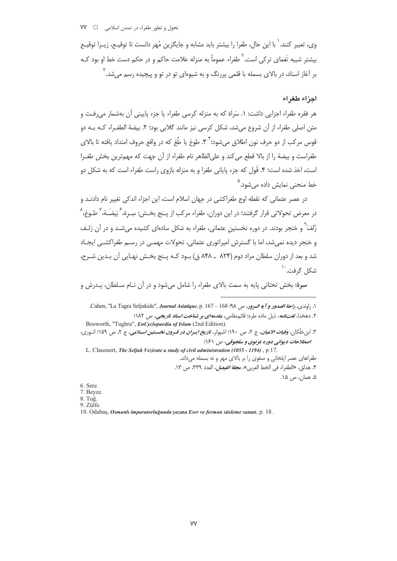وی، تعبیر کنند. ٰ با این حال، طغرا را بیشتر باید مشابه و جایگزین مُهر دانست تا توقیـع، زیـرا توقیـع بیشتر شبیه تَغمای ترکی است.<sup>7</sup> طغراء عموماً به منزله علامت حاکم و در حکم دست خط او بود کـه بر آغاز اسناد، در بالای بسمله با قلمی پررنگ و به شیوهای تو در تو و پیچیده رسم می شد. آ

#### احزاء طغراء

هر فقره طغراء اجزایی داشت: ۱. سَراة که به منزله کرسی طغراء یا جزء پایینی آن بهشمار می رفت و متن اصلی طغراء از آن شروع می شد، شکل کرسی نیز مانند گلابی بود؛ ۲. بیضة الطغـراء کـه بـه دو قوس مركب از دو حرف نون اطلاق مي شود؛ `` ٣. طوغ يا طُغ كه در واقع حروف امتداد يافته تا بالاي طغراست و بيضة را از بالا قطع مى كند و علىالظاهر نام طغراء از آن جهت كه مهمترين بخش طغـرا است، اخذ شده است؛ ۴. قَول که جزء پایانی طغرا و به منزله بازوی راست طغراء است که به شکل دو خط منحنی نمایش داده مے شود.<sup>۵</sup>

در عصر عثمانی که نقطه اوج طغراکشی در جهان اسلام است، این اجزاء اندکی تغییر نام دادنـد و در معرض تحولاتی قرار گرفتند؛ در این دوران، طغراء مرکب از پـنج بخـش: سِـرة، ۚ بَیضَـة، ۢ طـوغ، ۢ زُلْفَ ؓ و خنجر بودند. در دوره نخستین عثمانی، طغراء به شکل سادهای کشیده می شـد و در آن زلـف و خنجر دیده نمی شد، اما با گسترش امپراتوری عثمانی، تحولات مهمبی در رسـم طغراکشـی ایجـاد شد و بعد از دوران سلطان مراد دوم (۸۲۴ \_ ۸۴۸ ق) بـود کـه پـنج بخـش نهـایی آن بـدین شـرح، شکل گرف*ت*. <sup>۱۰</sup>

سرة: بخش تحتاني پايه به سمت بالاي طغراء را شامل مي شود و در آن نــام ســلطان، پــدرش و

۲. دهخدا، *لغتiامه*، ذیل ماده طره؛ قائم.مقامی، *مقدمهای بر شناخت اسناد تاریخی*، ص ۱۸۲: Bosworth, "Tughra", EnCyclopaedia of Islam (2nd Edition). ۳. ابن خلّکان، *وفیات الاعیان*، ج ۲، ص ۱۹۰: اشپولر، *تاریخ ایـران در قـرون نخسـتین اسـلامی*، ج ۲، ص ۱۵۹؛ انـوری،

اصطلاحات ديواني دوره غزنوي و سلجوقي، ص ١۶١؛ L. Clausnert, The Seljuk Vezirate a study of civil administration (1055 - 1194), p 17. طغراهای عصر ایلخانی و صفوی را بر بالای مهر و نه بسمله میداند. ۴. هدلق، «الطغراء في الخط العربي»، م*جلة الفيصل*، العدد ٣٣٩، ص ١٣.

۵. همان، ص ۱۵.

6. Sere.

7. Beyze.  $8. \text{Tu\check{g}}$ .

9. Zülfe.

10. Odabaş, Osmanlı imparatorluğunda yazma Eser ve ferman süsleme sanatı, p. 18.

١. راوندي، واحة الصدور و آيه السرور، ص ٩٨. 68 - 167. Cahen, "La Tugra Seljukide", Journal Asiatique, p. 167.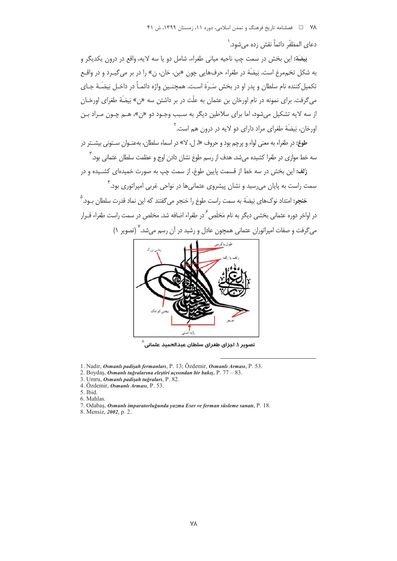دعاى المظفّر دائماً نقش زده مے شود. `

بَيضَة: اين بخش در سمت چپ ناحيه مياني طغراء، شامل دو يا سه لايه، واقع در درون يكديگر و به شکل تخممرغ است. بَيضَة در طغراء حرفهايي چون «بن، خان، ن» را در بر مي گيـرد و در واقــع تكميل كننده نام سلطان و يدر او در بخش سَـرَّة اسـت. همچنـين واژه دائمـاً در داخـل بَيضَـة جـاي مي گرفت. براي نمونه در نام اورخان بن عثمان به علّت در بر داشتن سه «ن» بَيضَة طغراي اورخـان از سه لايه تشكيل مي شود، اما براي سلاطين ديگر به سبب وجـود دو «ن»، هـم چـون مـراد بـن اورخان، بَيضَة طغراي مراد داراي دو لايه در درون هم است.<sup>۲</sup>

طوغ: در طغراء به معنی لواء و پرچم بود و حروف «ا، لي لا» در اسماء سلطان، بهعنـوان ســتوني پشــتر در سه خط موازی در طغرا کشیده میشد. هدف از رسم طوغ نشان دادن اوج و عظمت سلطان عثمانی ود. ۳

<mark>زُلف:</mark> این بخش در سه خط از قسمت پایین طوغ، از سمت چپ به صورت خمیدهای کشـیده و در سمت راست به پایان میرسید و نشان پیشروی عثمانیها در نواحی غربی امپراتوری بود.۴

خنجر: امتداد نوکهای بَیضَة به سمت راست طوغ را خنجر می گفتند که این نماد قدرت سلطان بود.<sup>۵</sup> در اواخر دوره عثمانی بخشی دیگر به نام مَخلَص <sup>۶</sup> در طغراء اضافه شد. مخلص در سمت راست طغراء قــرار میگرفت و صفات امپراتوران عثمانی همچون عادل و رشید در آن رسم میشد. <sup>۷</sup> (تصویر ۱)



تصویر ۱. اجزای طغرای سلطان عبدال<del>ح</del>مید عثمانی<sup>^</sup>

- 1. Nadir, Osmanlı padişah fermanları, P. 13; Özdemir, Osmanlı Arması, P. 53.
- 2. Boydaş, Osmanlı tuğralarına eleştiri açısından bir bakış, P. 77 83.
- 3. Umru, Osmanlı padişah tuğraları, P. 82.
- 4. Özdemir, Osmanlı Arması, P. 53. 5. Ibid.
- 
- 6. Mahlas.
- 7. Odabas, Osmanlı imparatorluğunda yazma Eser ve ferman süsleme sanatı, P. 18.
- 8. Mensiz, 2002, p. 2.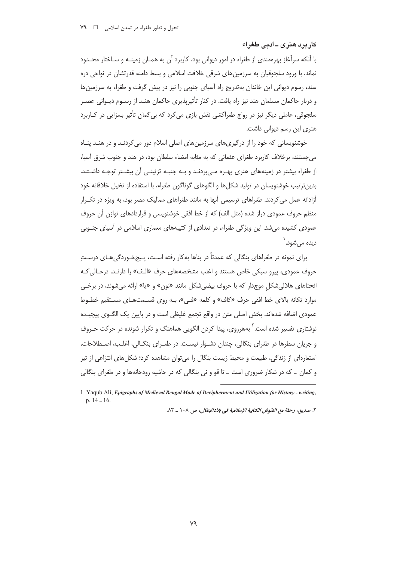#### کارپرد هنری ـ ادبی طغراء

با آنکه سرآغاز بهرهمندی از طغراء در امور دیوانی بود، کاربرد آن به همـان زمینـه و سـاختار محـدود نماند. با ورود سلجوقیان به سرزمینهای شرقی خلافت اسلامی و بسط دامنه قدرتشان در نواحی دره سند، رسوم دیوانی این خاندان بهتدریج راه آسیای جنوبی را نیز در پیش گرفت و طغراء به سرزمینها و دربار حاکمان مسلمان هند نیز راه یافت. در کنار تأثیریذیری حاکمان هنـد از رسـوم دیـوانی عصـر سلجوقی، عاملی دیگر نیز در رواج طغراکشی نقش بازی می کرد که بی گمان تأثیر بسزایی در کـاربرد هنری این رسم دیوانی داشت.

خوشنویسانی که خود را از درگیری های سرزمین های اصلی اسلام دور می کردنـد و در هنـد پنـاه می جستند، برخلاف کاربرد طغرای عثمانی که به مثابه امضاء سلطان بود، در هند و جنوب شرق آسیا، از طغراء بیشتر در زمینههای هنری بهـره مـی٬ردنـد و بـه جنبـه تزئینـی آن بیشـتر توجـه داشـتند. بدین ترتیب خوشنویسان در تولید شکل ها و الگوهای گوناگون طغراء، با استفاده از تخیل خلاقانه خود آزادانه عمل می کردند. طغراهای ترسیمی آنها به مانند طغراهای ممالیک مصر بود، به ویژه در تکـرار منظم حروف عمودی دراز شده (مثل الف) که از خط افقی خوشنویسی و قراردادهای توازن آن حروف عمودی کشیده می شد. این ویژگی طغراء، در تعدادی از کتیبههای معماری اسلامی در آسیای جنـوبی ديده مے شود. ٰ

برای نمونه در طغراهای بنگالی که عمدتاً در بناها بهکار رفته است، پـیچخـوردگیِهـای درسـتِ حروف عمودي، پيرو سبكي خاص هستند و اغلب مشخصههاي حرف «الـف» را دارنـد. درحـالي كـه انحناهای هلالی شکل موجدار که با حروف بیضی شکل مانند «نون» و «یا» ارائه می شوند، در برخـی موارد تكانه بالاي خط افقى حرف «كاف» و كلمه «فـي»، بـه روى قسـمتهـاى مسـتقيم خطـوط عمودي اضافه شدهاند. بخش اصلي متن در واقع تجمع غليظي است و در پايين يک الگـوي پيچيـده نوشتاری تفسیر شده است.' بههرروی، پیدا کردن الگویی هماهنگ و تکرار شونده در حرکت حـروف و جریان سطرها در طغرای بنگالی، چندان دشـوار نیسـت. در طغـرای بنگـالی، اغلـب، اصـطلاحات، استعارهای از زندگی، طبیعت و محیط زیست بنگال را می توان مشاهده کرد؛ شکل های انتزاعی از تیر و کمان \_ که در شکار ضروری است \_ تا قو و نی بنگالی که در حاشیه رودخانهها و در طغرای بنگالی

٢. صديق، رحلة مع النقوش الكتابية الإسلامية في بلادالبنغال، ص ١٠٨ \_ ٨٣.

<sup>1.</sup> Yaqub Ali, Epigraphs of Medieval Bengal Mode of Decipherment and Utilization for History - writing,  $p. 14 - 16.$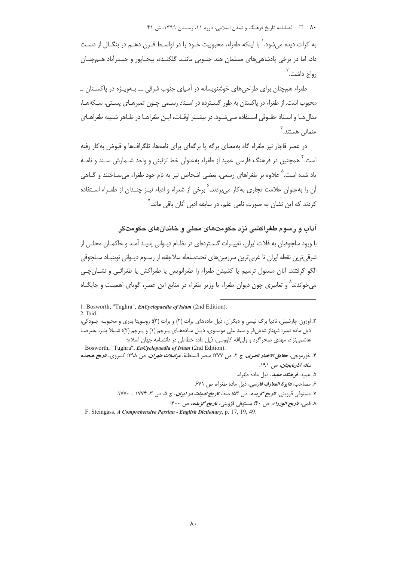۸۰ فصلنامه تاریخ فرهنگ و تمدن اسلامی، دوره ۱۱، زمستان ۱۳۹۹، ش ۴۱

به کرات دیده می شود. ٰ با اینکه طغراء، محبوبیت خـود را در اواسـط قـرن دهـم در بنگـال از دسـت داد، اما در برخی پادشاهی های مسلمان هند جنـوبی ماننـد گلکنـده، بیجـایور و حیـدرآباد هــمجنـان , واج داشت. <sup>۲</sup>

طغراء همچنان برای طراحیهای خوشنویسانه در آسیای جنوب شرقی ـــ بـهویـژه در پاکسـتان ــ محبوب است. از طغراء در پاکستان به طور گسـترده در اسـناد رسـمی چـون تمبرهـای پسـتی، سـکههـا، مدالها و اسـناد حقـوقی اسـتفاده مـی شـود. در بیشـتر اوقـات، ایـن طغراهـا در ظـاهر شـبیه طغراهـای عثماني هستند.<sup>۳</sup>

در عصر قاجار نیز طغراء گاه بهمعنای برگه یا برگهای برای نامهها، تلگرافها و قبوض بهکار رفته است.' همچنین در فرهنگ فارسی عمید از طغراء بهعنوان خط تزئینی و واحد شـمارش سـند و نامـه یاد شده است.<sup>۵</sup> علاوه بر طغراهای رسمی، بعضی اشخاص نیز به نام خود طغراء می سـاختند و گــاهی آن را بهعنوان علامت تجاری به کار می بردند. <sup>۶</sup> برخی از شعراء و ادباء نیـز چنـدان از طغـراء اسـتفاده کردند که این نشان به صورت نامی عَلم، در سابقه ادبی آنان باقی ماند.<sup>۷</sup>

آداب و رسوم طغراکشی نزد حکومتهای محلی و خاندانهای حکومتگر

با ورود سلجوقیان به فلات ایران، تغییـرات گسـتردهای در نظـام دیـوانی پدیـد آمـد و حاکمـان محلـی از شرقي ترين نقطه ايران تا غربي ترين سرزمين هاي تحتسلطه سلاجقه، از رسـوم ديـواني نوبنيـاد سـلجوقي الگو گرفتند. آنان مسئول ترسیم یا کشیدن طغراء را طغرانویس یا طغراکش یا طغرائبی و نشــان چــی میخواندند^ و تعابیری چون دیوان طغراء یا وزیر طغراء در منابع این عصر، گویای اهمیت و جایگـاه

 $2$  Ihid

- ۵. عمید، فرهن*گ عمید*، ذیل ماده طغراء.
- ع مصاحب، د*ايوة المعاوف فاوسي،* ذيل ماده طغراء، ص ۶۷۱

<sup>1.</sup> Bosworth, "Tughra", *EnCyclopaedia of Islam* (2nd Edition).

۳. اوزون چارشیلی، نادیا برگ نیسی و دیگران، ذیل مادههای برات (۲) و برات (۳)؛ روسویتا بدری و محبوبـه جـودکی، ذیل ماده تمبر؛ شهناز شایان فر و سید علی موسـوی، ذیـل مـادههـای پـرچم (۱) و پـرچم (۲)؛ شـیلا بلـر، علیرضـا هاشمی:ژاد، مهدی صحراگرد و ولیالله کاووسی، ذیل ماده خطاطی در دانشنامه جهان اسلام؛

Bosworth, "Tughra", EnCyclopaedia of Islam (2nd Edition). ۴. خورموجي، حق*ايق الاخبار ناصري*، ج ۲، ص ۲۷۷؛ مبصر السلطنة، م*راسلات طهران*، ص ۳۹۸؛ كسروي، *تاريخ هيجده*  $191$ ساله آذربابجان، ص ١٩١.

٧. مستوفى قزوينى، *تاريخ گزيده*، ص ۵۳؛ صفا، *تاريخ ادبيات در ايران*، ج ۵، ص ٣، ١٧٧۴ \_ ١٧٧٠.

۸ قمی، *تاریخ الوزراء*، ص ۴۰؛ مستوفی قزوینی، *تاریخ گزیده*، ص ۴۰۰؛

F. Steingass, A Comprehensive Persian - English Dictionary, p. 17, 19, 49.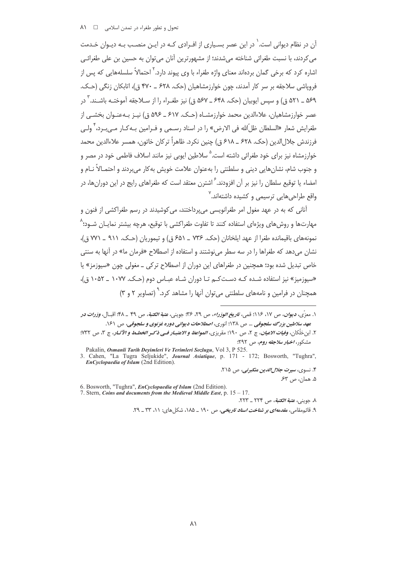آن در نظام دیوانی است.<sup>\</sup> در این عصر بسـیاری از افـرادی کـه در ایـن منصـب بـه دیـوان خـدمت می کردند، با نسبت طغرائی شناخته می شدند؛ از مشهورترین آنان می توان به حسین بن علی طغرائـی اشاره کرد که برخی گمان بردهاند معنای واژه طغراء با وی پیوند دارد.<sup>۲</sup> احتمالاً سلسلههایی که پس از فرویاشی سلاجقه بر سر کار آمدند، چون خوارزمشاهیان (حک. ۶۲۸ ـ ۴۷۰ ق)، اتابکان زنگی (حـک. ۵۶۹ ـ ۵۲۱ ق) و سپس ابوبیان (حک. ۶۴۸ ـ ۵۶۷ ق) نیز طغـراء را از سـلاجقه آموختـه باشـند. <sup>۳</sup> در عصر خوارزمشاهیان، علاءالدین محمد خوارزمشـاه (حـک. ۶۱۷ ـ ۵۹۶ ق) نیـز بـهعنـوان بخشـی از طغرایش شعار «السلطان ظلّ الله فی الارض» را در اسناد رسـمی و فـرامین بـه *ک*ـار مـی بـرد، <sup>۴</sup> ولـی فرزندش جلال|لدين (حک. ۶۲۸ \_ ۶۱۸ ق) چنين نکرد. ظاهراً ترکان خاتون، همسر علاءالدين محمد خوارزمشاه نیز برای خود طغرائی داشته است.<sup>۵</sup> سلاطین ایوبی نیز مانند اسلاف فاطمی خود در مصر و و جنوب شام، نشانهایی دینی و سلطنتی را بهعنوان علامت خویش به کار می بردند و احتمـالاً نـام و امضاء یا توقیع سلطان را نیز بر آن افزودند.<sup>۶</sup> اشترن معتقد است که طغراهای رایج در این دورانها، در واقع طراحے هایے, ترسیمے, و کشیده داشتهاند.<sup>۷</sup>

آنانی که به در عهد مغول امر طغرانویسی می یرداختند، می کوشیدند در رسم طغراکشی از فنون و مهارتها و روش های ویژوای استفاده کنند تا تفاوت طغراکشی با توقیع، هرچه پیشتر نمایـان شـود؛^ نمونههاي باقيمانده طغرا از عهد ايلخانان (حک. ۷۳۶ ـ ۶۵۱ ق) و تيموريان (حـک. ۹۱۱ ـ ۷۷۱ ق)، نشان می دهد که طغراها را در سه سطر می نوشتند و استفاده از اصطلاح «فرمان ما» در آنها به سنتی خاص تبدیل شده بود؛ همچنین در طغراهای این دوران از اصطلاح ترکی ــ مغولی چون «سیوزمز» یا «سیوزمیز» نیز استفاده شده کـه دسـتکـم تـا دوران شـاه عبـاس دوم (حـک. ۱۰۷۷ ـ ۱۰۵۲ ق)، همچنان در فرامین و نامههای سلطنتی می توان آنها را مشاهد کرد. ٌ (تصاویر ۲ و ۳)

۴. نسوی، *سیرت جلال الدین منکبرنی،* ص ۲۱۵.

۵. همان، ص ۶۳.

6. Bosworth, "Tughra", EnCyclopaedia of Islam (2nd Edition).

7. Stern, Coins and documents from the Medieval Middle East, p.  $15 - 17$ . ٨. حويني، *عتبة الكتبة*، ص ٢٢٣ \_ ٢٢٣.

۹. قائ<sub>م</sub>مقامی، *مقدمهای بر شناخت اسناد تاریخی، ص ۱۹۰ ـ ۱۸*۵، شکل های: ۱۱، ۳۳ *ـ* ۲۹.

١. معزّى، *ديوان*، ص ١٧، ١١۶؛ قمى، ت*اريخ الوزراء*، ص ٢٩، ٣٦؛ جويني، *عتبة الكتبة*، ص ۴٩ \_ ۴٨؛ اقبـال، *وزرات در* عهد سلاطین بزرگ سلجوقی ... ص ۱۳۸؛ انوری، اصطلاحات دیوانی دوره غزنوی و سلجوقی، ص ۱۶۱.

٢. ابن خلّكان، *وفيات الاعيان*، ج ٢، ص ١٩٠؛ مقريزي، *المواعظ و الاعتبـار فـي ذكـر الخطـط و الآثـار*، ج ٣، ص ٣٣٢؛ مشکور، *اخبار سلاحقه روم، ص ۲۹۲:* 

Pakalin, Osmanli Tarih Devimleri Ve Terimleri Sozlugu, Vol 3, P 525. 3. Cahen, "La Tugra Seljukide", Journal Asiatique, p. 171 - 172; Bosworth, "Tughra", EnCyclopaedia of Islam (2nd Edition).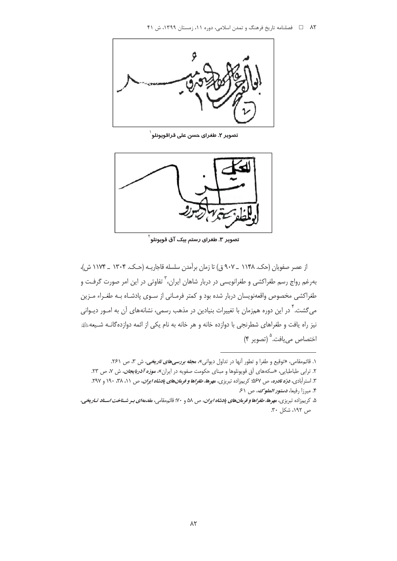

تصوير ٢. طغراي حسن على قراقويونلو ٰ



تصویر ۳. طغرای رستم بیک آق قویونلو <sup>۲</sup>

از عصر صفويان (حک. ۱۱۴۸ \_ ۹۰۷ ق) تا زمان برآمدن سلسله قاجاريـه (حـک. ۱۳۰۴ \_ ۱۱۷۴ ش)، بهرغم رواج رسم طغراکشی و طغرانویسی در دربار شاهان ایران،<sup>۳</sup> تفاوتی در این امر صورت گرفت و طغراکشی مخصوص واقعهنویسان دربار شده بود و کمتر فرمـانی از سـوی پادشـاه بـه طغـراء مـزین می گشت.<sup>۲</sup> در این دوره همزمان با تغییرات بنیادین در مذهب رسمی، نشانههای آن به امـور دیـوانی نیز راه یافت و طغراهای شطرنجی با دوازده خانه و هر خانه به نام یکی از ائمه دوازدهگانــه شــیعهﷺ اختصاص مي يافت.<sup>0</sup> (تصوير ۴)

۱. قائم مقامی، «توقیع و طغرا و تطور آنها در تداول دیوانی»، م*جله بررسی های تاریخی*، ش ۳، ص ۲۶۱.

۲. ترابی طباطبایی، «سکههای آق قویونلوها و مبنای حکومت صفویه در ایران»، *م<mark>وزه آذرب<i>ایجان*، ش ۷، ص ۲۳.</mark> ۳. استرآبادی، *درّه نادره، ص ۵۶۷؛* کریمزاده تبریزی، م*هرها، طغراها و فرمانهای پادشاه ایران*، ص ۱۱، ۳۸، ۱۹۰ و ۳۹۲. ۴. میرزا رفیعا، *دستور الملوک، ص ۶۱* 

۵. کریمزاده تبریزی، م*هرها، طغراها و فرمانهای پادشاه ایران*، ص ۵۸ و ۷۰؛ قائم،مقامی، م*قدمهای بـر شـناخت اسـناد تـاریخی*، ص ١٩٢، شكل ٣٠.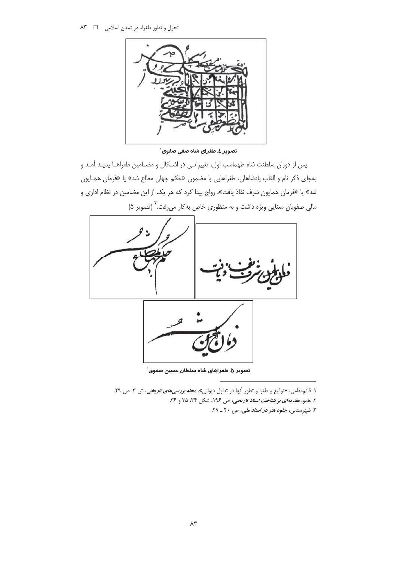

تصویر ٤. طغرای شاه صفی صفوی`

پس از دوران سلطنت شاه طهماسب اول، تغییراتبی در اشکال و مضـامین طغراهـا پدیـد آمـد و بهجاي ذكر نام و القاب پادشاهان، طغراهايي با مضمون «حكم جهان مطاع شد» يا «فرمان همـايون شد» یا «فرمان همایون شرف نفاذ یافت»، رواج پیدا کرد که هر یک از این مضامین در نظام اداری و مالی صفویان معنایی ویژه داشت و به منظوری خاص به کار میرفت.<sup>۲</sup> (تصویر ۵)



تصویر ۵. طغراهای شاه سلطان حسین صفوی ّ

۱. قائم مقامی، «توقیع و طغرا و تطور آنها در تداول دیوانی»، م*جله بررسیهای تاریخی*، ش ۳، ص ۲۹. ۲. همو، *مقدمه ای بر شناخت اسناد تاریخی، ص ۱۹۶۰*، شکل ۳۴، ۳۵ و ۳۶.

۳. شهرستانی، *جلوه هنر در اسناد ملی، ص* ۴۰ ـ ۲۹.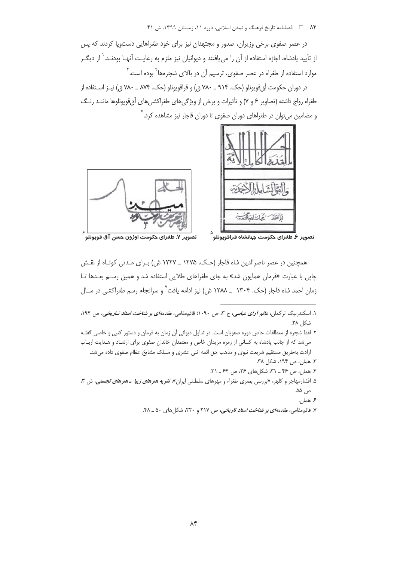در عصر صفوی برخی وزیران، صدور و مجتهدان نیز برای خود طغراهایی دستویا کردند که پس از تأیید پادشاه، اجازه استفاده از آن را میlبافتند و دیوانیان نیز ملزم به رعایـت آنهـا بودنـد. ٰ از دیگــر موارد استفاده از طغراء در عصر صفوی، ترسیم آن در بالای شجرهها<sup>۲</sup> بوده است.<sup>۳</sup>

در دوران حکومت آق قویونلو (حک. ۹۱۴ ــ ۷۸۰ ق) و قراقویونلو (حک. ۸۷۴ ـ ۷۸۰ ق) نیـز اسـتفاده از طغراء رواج داشته (تصاویر ۶ و ۷) و تأثیرات و برخی از ویژگیهای طغراکشیهای آق@ویونلوها ماننـد رنـگ و مضامین میتوان در طغراهای دوران صفوی تا دوران قاجار نیز مشاهده کرد.<sup>۴</sup>



همچنین در عصر ناصرالدین شاه قاجار (حـک. ۱۲۷۵ \_ ۱۲۲۷ ش) بـرای مـدتی کوتـاه از نقـش چاپی با عبارت «فرمان همایون شد» به جای طغراهای طلایی استفاده شد و همین رسم بعـدها تـا زمان احمد شاه قاجار (حک. ۱۳۰۴ \_ ۱۲۸۸ ش) نیز ادامه یافت<sup>۷</sup> و سرانجام رسم طغراکشی در سـال

- ۳. همان، ص ۱۹۴، شکل ۳۸.
- ۴. همان، ص ۴۶ \_ ۳۱، شكل هاى ۲۶، ص ۶۴ \_ ۳۱.
- ۵. افشارمهاجر و کلهر، «بررسی بصری طغراء و مهرهای سلطنتی ایران»، *نشریه هنرهای زیبا ـ هنرهای تجسمی*، ش ۳، ص ۵۵.
	- ۶ همان.
	- ۷. قائ<sub>م</sub>مقامی، *مقدمهای بر شناخت اسناد تاریخی*، ص ۲۱۷ و ۲۲۰، شکلهای ۵۰ ـ ۴۸.

۱. اسکندربیگ ترکمان، *عالم آرای عباسی*، ج ۳، ص ۱۰۹۰؛ قائمbهقامی، *مقدمهای بر شناخت اسناد تـاریخی*، ص ۱۹۴، شكل ۳۸.

۲. لفظ شجره از معطلقات خاص دوره صفويان است. در تداول ديواني آن زمان به فرمان و دستور كتبي و خاصي گفتـه میشد که از جانب پادشاه به کسانی از زمره مریدان خاص و معتمدان خاندان صفوی برای ارشـاد و هـدایت اربـاب ارادت بهطريق مستقيم شريعت نبوى و مذهب حق ائمه اثنى عشرى و مسلك مشايخ عظام صفوى داده مى شد.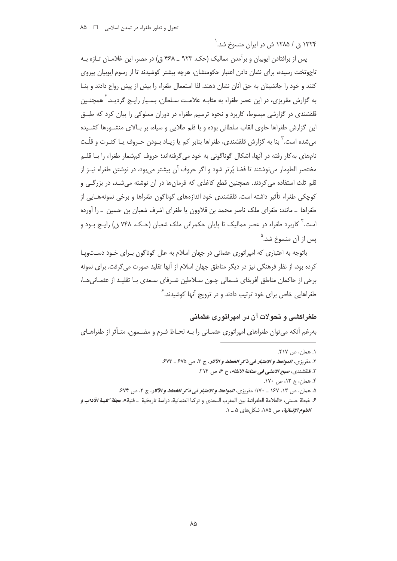۱۳۲۴ ق / ۱۲۸۵ ش در ایران منسوخ شد.<sup>۱</sup>

پس از برافتادن ایوبیان و برآمدن ممالیک (حک. ۹۲۳ ـ ۴۶۸ ق) در مصر، این غلامـان تـازه بـه تاجوتخت رسیده، برای نشان دادن اعتبار حکومتشان، هرچه بیشتر کوشیدند تا از رسوم ایوبیان پیروی کنند و خود را جانشینان به حق آنان نشان دهند. لذا استعمال طغراء را بیش از پیش رواج دادند و بنــا به گزارش مقریزی، در این عصر طغراء به مثابـه علامـت سـلطان، بسـیار رایـج گردیـد. <sup>۲</sup> همچنـین قلقشندی در گزارشی میسوط، کاربرد و نحوه ترسیم طغراء در دوران مملوکی را بیان کرد که طبـق این گزارش طغراها حاوی القاب سلطانی بوده و با قلم طلایی و سیاه، بر بـالای منشـورها کشـیده میشده است.<sup>٬</sup> بنا به گزارش قلقشندی، طغراها بنابر کم یا زیـاد بـودن حـروف یـا کثـرت و قلّـت نامهای به کار رفته در آنها، اشکال گوناگونی به خود میگرفتهاند؛ حروف کم شمار طغراء را بـا قلـم مختصر الطومار می،نوشتند تا فضا پُرتر شود و اگر حروف آن بیشتر می بود، در نوشتن طغراء نیـز از قلم ثلث استفاده می کردند. همچنین قطع کاغذی که فرمانها در آن نوشته میشـد، در بزرگـی و کوچکی طغراء تأثیر داشته است. قلقشندی خود اندازههای گوناگون طغراها و برخی نمونههـایی از طغراها \_ مانند: طغراي ملک ناصر محمد بن قلاوون يا طغراي اشرف شعبان بن حسين \_ را آورده است. ۴ کاربرد طغراء در عصر ممالیک تا پایان حکمرانی ملک شعبان (حـک. ۷۴۸ ق) رایـج بـود و پس از آن منسوخ شد.<sup>۵</sup>

باتوجه به اعتباری که امپراتوری عثمانی در جهان اسلام به علل گوناگون بـرای خـود دسـتوپـا کرده بود، از نظر فرهنگی نیز در دیگر مناطق جهان اسلام از آنها تقلید صورت می گرفت. برای نمونه برخی از حاکمان مناطق آفریقای شمالی چـون سـلاطین شـرفای سـعدی بـا تقلیـد از عثمـانیهـا، طغراهایی خاص برای خود ترتیب دادند و در ترویج آنها کوشیدند.<sup>۶</sup>

#### طغراکشی و تحولات آن در امیراتوری عثمانی

بهرغم آنكه مي توان طغراهاي امپراتوري عثمـاني را بـه لحـاظ فـرم و مضـمون، متـأثر از طغراهـاي

١. همان، ص ٢١٧.

٢. مقرري، المواعظ و الاعتبار في ذكر الخطط و الآثار، ج ٣، ص ٤٧٥ \_ ٤٧٣

٣. قلقشندي، صب*ح الاعشي في صناعة الانشاء*، ج ع، ص ٢١۴.

۴. همان، ج ۱۳، ص ۱۷۰.

۵. همان، ص ۱۳، ۱۶۷ \_ ۱۷۰؛ مقريزي، *المواعظ و الاعتبار في ذكر الخطط و الآثار*، ج ۳، ص ۶۷۴.

ع خبطة حسني، «العلامة الطغرائية بين المغرب السعدي و تركيا العثمانية، دراسة تاريخية \_ فنية»، م*جلة كليــة الآداب و* العلوم الإنسانية، ص ١٨۵، شكل هاي ٥ \_ ١.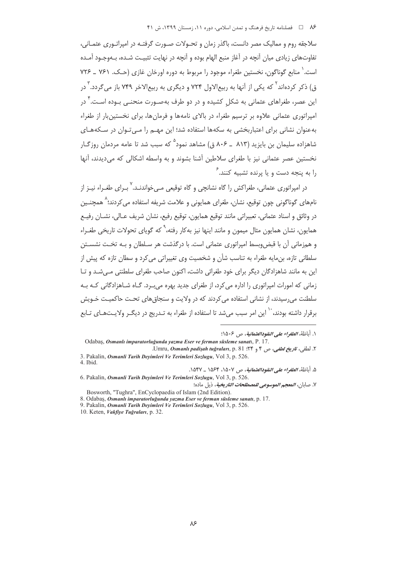سلاجقه روم و ممالیک مصر دانست، باگذر زمان و تحـولات صـورت گرفتـه در امیراتـوری عثمـانی، تفاوتهای زیادی میان آنچه در آغاز منبع الهام بوده و آنچه در نهایت تثبیت شـده، بـهوجـود آمـده است. ٰ منابع گوناگون، نخستین طغراء موجود را مربوط به دوره اورخان غازی (حـک. ۷۶۱ \_ ۷۲۶ ق) ذکر کردهاند<sup>۲</sup> که یکی از آنها به ریبرالاول ۷۲۴ و دیگری به ریبرالاخر ۷۴۹ باز می *گ*ردد. ٌ در این عصر، طغراهای عثمانی به شکل کشیده و در دو طرف بهصـورت منحنـی بـوده اسـت. ٌ در امپراتوری عثمانی علاوه بر ترسیم طغراء در بالای نامهها و فرمانها، برای نخستین بار از طغراء بهعنوان نشانی برای اعتباربخشی به سکهها استفاده شد؛ این مهـم را مـیتوان در سـکههـای شاهزاده سلیمان بن بایزید (۸۱۳ ـ ۸۰۶ ق) مشاهد نمود<sup>ه</sup> که سبب شد تا عامه مردمان روزگـار نخستین عصر عثمانی نیز با طغرای سلاطین آشنا بشوند و به واسطه اشکالی که می دیدند، آنها را به بنجه دست و با برنده تشبیه کنند.  $^{\mathsf{S}}$ 

در امپراتوری عثمانی، طغراکش را گاه نشانچی و گاه توقیعی مــ ،خواندنـد.<sup>۷</sup> بـرای طغـراء نیـز از نامهای گوناگونی چون توقیع، نشان، طغرای همایونی و علامت شریفه استفاده می کردند؛<sup>^</sup> همچنــین در وثائق و اسناد عثمانی، تعبیراتی مانند توقیع همایون، توقیع رفیع، نشان شریف عـالی، نشــان رفیــع همایون، نشان همایون مثال میمون و مانند اینها نیز به کار رفته، <sup>۹</sup> که گویای تحولات تاری*خی* طف اء و همزمانی آن با قبض وبسط امیراتوری عثمانی است. با درگذشت هر سـلطان و بـه تخـت نشسـتن سلطانی تازه، بن مایه طغراء به تناسب شأن و شخصیت وی تغییراتی می کرد و سطان تازه که پیش از این به مانند شاهزادگان دیگر برای خود طغرائی داشت، اکنون صاحب طغرای سلطنتی می شد و تا زمانی که امورات امپراتوری را اداره می کرد، از طغرای جدید بهره می برد. گـاه شـاهزادگانی کـه بـه سلطنت می رسیدند، از نشانی استفاده می کردند که در ولایت و سنحاق های تحت حاکمیت خـویش برقرار داشته بودند، `` این امر سبب می شد تا استفاده از طغراء به تـدریج در دیگـر ولایـتهـای تـابع

۵. أَباطَةَ، *الطغواء على النقودالعثمانية*، ص ۵۰۷، ۱۵۶۴ \_ ۱۵۴۷.

١. أباظة، *الطغراء على النقودالعثمانية*، ص ١۵٠۶:

Odabaş, Osmanlı imparatorluğunda yazma Eser ve ferman süsleme sanatı, P. 17. ٢. لطفي، *تاريخ لطفي*، ص ۴ و ٢٤؛ Vmru, *Osmanlı padişah tuğraları*, p. 81.

<sup>3.</sup> Pakalin, Osmanli Tarih Devimleri Ve Terimleri Sozlugu, Vol 3, p. 526. 4. Ibid.

<sup>6.</sup> Pakalin, Osmanli Tarih Deyimleri Ve Terimleri Sozlugu, Vol 3, p. 526. ٧. صابان، *المعجم الموسوعي للمصطلحات التاريخية*، ذيل ماده؛

Bosworth, "Tughra", EnCyclopaedia of Islam (2nd Edition).

<sup>8.</sup> Odabas, Osmanlı imparatorluğunda yazma Eser ve ferman süsleme sanatı, p. 17.

<sup>9.</sup> Pakalin, Osmanli Tarih Devimleri Ve Terimleri Sozlugu, Vol 3, p. 526.

<sup>10.</sup> Keten, Vakfiye Tuğraları, p. 32.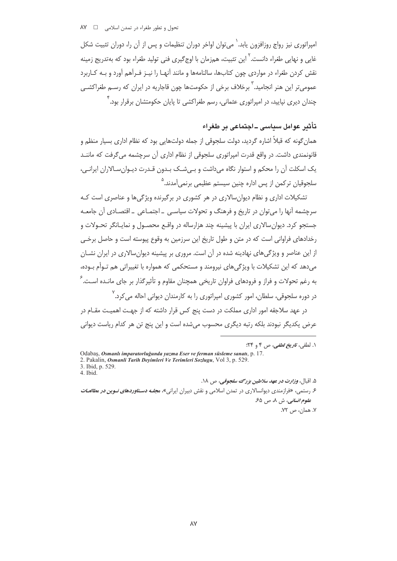امیراتوری نیز رواج روزافزون پابد.<sup>\</sup> می توان اواخر دوران تنظیمات و پس از آن را، دوران تثبیت شکل غایی و نهایی طغراء دانست. <sup>۱</sup> این تثبیت، همزمان با اوج *گیری* فنی تولید طغراء بود که بهتدریج زمینه نقش کردن طغراء در مواردی چون کتابها، سالنامهها و مانند آنهـا را نیـز فـرآهم آورد و بـه کـاربرد عمومي تر اين هنر انجاميد." برخلاف برخي از حكومتها چون قاجاريه در ايران كه رســم طغراكشــي چندان دیری نپایید، در امپراتوری عثمانی، رسم طغراکشی تا پایان حکومتشان برقرار بود. ٔ

## تأثير عوامل سياسي ــاجتماعي بر طغراء

همان گونه که قبلاً اشاره گردید، دولت سلجوقی از جمله دولتهایی بود که نظام اداری بسیار منظم و قانونمندی داشت. در واقع قدرت امیراتوری سلجوقی از نظام اداری آن سرچشمه می *گ*رفت که ماننــد یک اسکلت آن را محکم و استوار نگاه می داشت و بے شــک بـدون قـدرت دیـوان سـالاران ایرانـی، سلجوقیان ترکمن از پس اداره چنین سیستم عظیمی برنمی آمدند.<sup>۵</sup>

تشکیلات اداری و نظام دیوان سالاری در هر کشوری در برگیرنده ویژگیها و عناصری است ک سرچشمه آنها را می توان در تاریخ و فرهنگ و تحولات سیاسے , \_ اجتمـاعے , \_ اقتصـادی آن جامعـه جستجو کرد. دیوان سالاری ایران با پیشینه چند هزارساله در واقـع محصـول و نمایـانگر تحـولات و رخدادهای فراوانی است که در متن و طول تاریخ این سرزمین به وقوع پیوسته است و حاصل برخبی از این عناصر و ویژگیهای نهادینه شده در آن است. مروری بر پیشینه دیوانسالاری در ایران نشـان مے دھد که این تشکیلات یا ویژگے ھای نیرومند و مستحکمی که همواره یا تغییراتی هم تـوأم بـوده، به رغم تحولات و فراز و فرودهای فراوان تاریخی همچنان مقاوم و تأثیرگذار بر جای مانـده اسـت.<sup>۶</sup> در دوره سلجوقی، سلطان، امور کشوری امیراتوری را به کارمندان دیوانی احاله می *ک*رد. <sup>۷</sup>

در عهد سلاحقه امور اداری مملکت در دست بنج کس قرار داشته که از جهت اهمیت مقیام در عرض یکدیگر نبودند بلکه رتبه دیگری محسوب می شده است و این پنج تن هر کدام ریاست دیوانی

۵. اقبال، *وزارت در عهد سلاطين بزرگ سلجوقي، ص ۱۸.* 

۶ رستمی، «فرازمندی دیوانسالاری در تمدن اسلامی و نقش دبیران ایرانی»، م*جلـه دسـتاوردهای نـوین در مطالعـات* ع*لوم انسانی*، ش ۸، ص ۶۵ ٧. همان، ص ٧٢.

 $\lambda V$ 

۱. لطفي، *تاريخ لطفي*، ص ۴ و ۲۴:

Odabaş, Osmanlı imparatorluğunda yazma Eser ve ferman süsleme sanatı, p. 17.

<sup>2.</sup> Pakalin, Osmanli Tarih Deyimleri Ve Terimleri Sozlugu, Vol 3, p. 529.

<sup>3.</sup> Ibid, p. 529.

<sup>4.</sup> Ibid.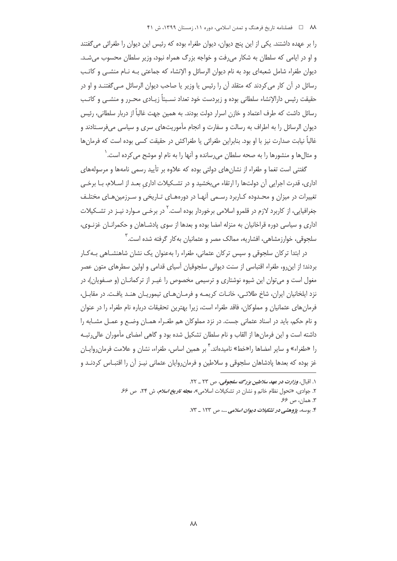را بر عهده داشتند. یکی از این پنج دیوان، دیوان طغراء بوده که رئیس این دیوان را طغرائی می گفتند و او در ایامی که سلطان به شکار می رفت و خواجه بزرگ همراه نبود، وزیر سلطان محسوب می شـد. دیوان طغراء شامل شعبهای بود به نام دیوان الرسائل و الإنشاء که جماعتی بـه نــام منشــی و کاتـب رسائل در آن کار می کردند که متقلد آن را رئیس یا وزیر یا صاحب دیوان الرسائل مـی گفتنــد و او در حقيقت رئيس دارالإنشاء سلطاني بوده و زيردست خود تعداد نسـبتاً زيـادي محـرر و منشـي و كاتـب رسائل داشت که طرف اعتماد و خازن اسرار دولت بودند. به همین جهت غالباً از دربار سلطانی، رئیس دیوان الرسائل را به اطراف به رسالت و سفارت و انجام مأموریتهای سری و سیاسی میفرستادند و غالباً نیابت صدارت نیز با او بود. بنابراین طغرائی یا طغراکش در حقیقت کسی بوده است که فرمانها و مثالها و منشورها را به صحه سلطان می رسانده و آنها را به نام او موشح می کرده است. ٰ

گفتنی است تغما و طغراء از نشان های دولتی بوده که علاوه بر تأیید رسمی نامهها و مرسولههای اداری، قدرت اجرایی آن دولتها را ارتقاء میبخشید و در تشکیلات اداری بعد از اسلام، بـا برخـی تغییرات در میزان و محـدوده کـاربرد رسـمی آنهـا در دورههـای تـاریخی و سـرزمینهـای مختلـف جغرافیایی، از کاربرد لازم در قلمرو اسلامی برخوردار بوده است.<sup>۲</sup> در برخـی مـوارد نیـز در تشــکیلات اداري و سياسي دوره قراخانيان به منزله امضا بوده و بعدها از سوي يادشــاهان و حکمرانــان غزنــوي، سلحوقی، خوارزمشاهی، افشاریه، ممالک مصر و عثمانیان به کار گرفته شده است. ۖ

در ابتدا ترکان سلجوقی و سپس ترکان عثمانی، طغراء را بهعنوان یک نشان شاهنشـاهی بـهکـار بردند؛ از این٫و، طغراء اقتباسی از سنت دیوانی سلجوقیان آسیای قدامی و اولین سطرهای متون عصر مغول است و می توان این شیوه نوشتاری و ترسیمی مخصوص را غیـر از ترکمانــان (و صــفویان)، در نزد ایلخانیان ایران، شاخ طلائے، خانـات کریمـه و فرمـان هـای تیموریـان هنـد یافـت. در مقابـل، فرمان های عثمانیان و مملوکان، فاقد طغراء است، زیرا بهترین تحقیقات درباره نام طغراء را در عنوان و نام حکم، باید در اسناد عثمانی جست. در نزد مملوکان هم طغـراء همـان وضـع و عمـل مشـابه را داشته است و این فرمانها از القاب و نام سلطان تشکیل شده بود و گاهی امضای مأموران عالی رتب را «طغراء» و سایر امضاها را«خط» نامیدهاند. ٔ بر همین اساس، طغراء، نشان و علامت فرمان روایـان غز بوده که بعدها یادشاهان سلجوقی و سلاطین و فرمان روایان عثمانی نیـز آن را اقتبـاس کردنـد و

١. اقبال، وزارت در عهد سلاطين بزرگ سلجوقى، ص ٢٣ \_ ٢٢.

۲. جوادی، «تحول نظام خاتم و نشان در تشکیلات اسلامی»، مج*له تاریخ اسلام*، ش ۲۴، ص ۶۶. ۳. همان، ص ۶۶.

۴. بوسه، پژوهشی در تشکیلات دیوان اسلامی ...، ص ۱۲۳ \_ ۷۳.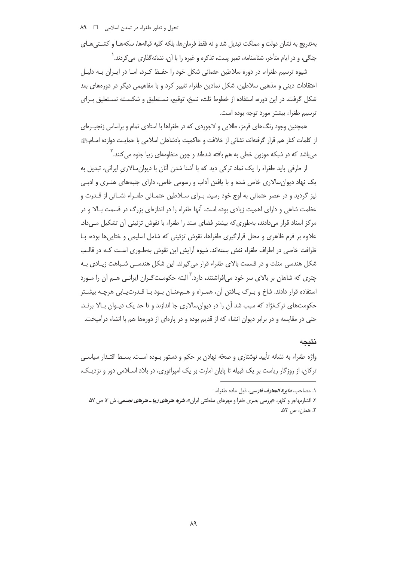بهتدريج به نشان دولت و مملكت تبديل شد و نه فقط فرمانها، بلكه كليه قبالهها، سكههـا و كشــتىهـاى جنگی، و در ایام متأخر، شناسنامه، تمبر پست، تذکره و غیره را با آن، نشانهگذاری می کردند. `

شیوه ترسیم طغراء، در دوره سلاطین عثمانی شکل خود را حفـظ کـرد، امـا در ایـران بـه دلیـل اعتقادات دینی و مذهبی سلاطین، شکل نمادین طغراء تغییر کرد و با مفاهیمی دیگر در دورههای بعد شکل گرفت. در این دوره، استفاده از خطوط ثلث، نسخ، توقیع، نسـتعلیق و شکسـته نسـتعلیق بـرای ترسيم طغراء بيشتر مورد توجه بوده است.

همچنین وجود رنگ های قرمز، طلایی و لاجوردی که در طغراها با استادی تمام و براساس زنجیـرهای از كلمات كنار هم قرار گرفتهاند، نشاني از خلافت و حاكميت پادشاهان اسلامي با حمايـت دوازده امــامﷺ مے باشد که در شبکه موزون خطی به هم بافته شدهاند و چون منظومهای زیبا جلوه می کنند. <sup>۲</sup>

از طرفی باید طغراء را یک نماد ترکی دید که با آشنا شدن آنان با دیوانِسالاری ایرانی، تبدیل به یک نهاد دیوان سالاری خاص شده و با یافتن آداب و رسومی خاص، دارای جنبههای هنـری و ادبـی نیز گردید و در عصر عثمانی به اوج خود رسید. بـرای سـلاطین عثمـانی طغـراء نشـانی از قـدرت و عظمت شاهی و دارای اهمیت زیادی بوده است. آنها طغراء را در اندازهای بزرگ در قسمت بـالا و در مرکز اسناد قرار می دادند، بهطوری که بیشتر فضای سند را طغراء با نقوش تزئینی آن تشکیل مـی داد. علاوه بر فرم ظاهری و محل قرارگیری طغراها، نقوش تزئینی که شامل اسلیمی و ختایی ها بوده، بـا ظرافت خاصی در اطراف طغراء نقش بستهاند. شیوه آرایش این نقوش بهطـوری اسـت کـه در قالـب شکل هندسی مثلث و در قسمت بالای طغراء قرار میگیرند. این شکل هندسـی شـباهت زیـادی بـه چتری که شاهان بر بالای سر خود می|فراشتند، دارد.<sup>۳</sup> البته حکومت *گ*ـران ایرانـی هــم آن را مــورد استفاده قرار دادند. شاخ و بـرگ پـافتن آن، همـراه و هـهعنـان بـود بـا قـدرت پـابی هرچـه بیشـتر حکومتهای ترک $i$ اد که سبب شد آن را در دیوانِسالاری جا اندازند و تا حد یک دیـوان بـالا برنـد. حتی در مقایسه و در برابر دیوان انشاء که از قدیم بوده و در پارهای از دورهها هم با انشاء درآمیخت.

### نتيجه

واژه طغراء به نشانه تأیید نوشتاری و صحّه نهادن بر حکم و دستور بـوده اسـت. بسـط اقتـدار سیاسـی ترکان، از روزگار ریاست بر یک قبیله تا پایان امارت بر یک امپراتوری، در بلاد اسـلامی دور و نزدیـک،

۱. مصاحب، **د***ا بو ة المعارف فارسي،* دُبل ماده طغراء.

۲. افشارمهاجر و کلهر، «بررسی بصری طغرا و مهرهای سلطنتی ایران»، *نشریه هنرهای زیبا ـ هنرهای تجسمی*، ش ۳، ص ۵۷. ٣. همان، ص ٥٢.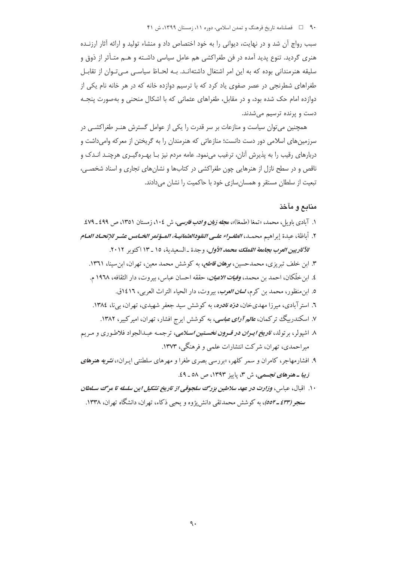### ۹۰ فصلنامه تاریخ فرهنگ و تمدن اسلامی، دوره ۱۱، زمستان ۱۳۹۹، ش ۴۱

سبب رواج آن شد و در نهایت، دیوانی را به خود اختصاص داد و منشاء تولید و ارائه آثار ارزنـده هنری گردید. تنوع پدید آمده در فن طغراکشی هم عامل سیاسی داشـته و هــم متـأثر از ذوق و سلیقه هنرمندانی بوده که به این امر اشتغال داشتهانـد. بـه لحـاظ سیاسـی مـی تـوان از تقابـل طغراهای شطرنجی در عصر صفوی یاد کرد که با ترسیم دوازده خانه که در هر خانه نام یکی از دوازده امام حک شده بود، و در مقابل، طغراهای عثمانی که با اشکال منحنی و بهصورت پنجـه دست و پرنده ترسیم می شدند.

همچنین می توان سیاست و منازعات بر سر قدرت را یکی از عوامل گسترش هنـر طغراکشـی در سرزمینهای اسلامی دور دست دانست؛ منازعاتی که هنرمندان را به گریختن از معرکه وامیداشت و دربارهای رقیب را به پذیرش آنان، ترغیب می;نمود. عامه مردم نیز بـا بهـره گیـری هرچنـد انـدک و ناقص و در سطح نازل از هنرهایی چون طغراکشی در کتابها و نشانهای تجاری و اسناد شخصی، تبعیت از سلطان مستقر و همسان سازی خود با حاکمیت را نشان می دادند.

#### منابع و مآخذ

- ۱. آبادی باویل، محمد، «تمغا (طمغا)»، م*جله زبان و ادب فارسی،* ش ۱۰٤، زمستان ۱۳٥۱، ص ٤٩٩ ـ ۷۹.
- ٢. أباظة، عبدة إبر اهيم محمـد، *الطغـراء علـى النقودالعثمانيــة، المــؤتمر الخــامس عشـر للإتحــاد العـام* للآثاريين العرب بجامعة اللملك محمد الأول، وجدة \_السعد بة، ١٥ \_ ١٣ اكتوبر ٢٠١٢.
	- ۳. ابن خلف تبریزی، محمدحسین، *بوهان قاطع،* به کوشش محمد معین، تهران، ابن سینا، ۱۳۶۱.
	- ٤. ابن خلّكان، احمد بن محمد، *وفيات الاعيان*، حققه احسان عباس، بيروت، دار الثقافه، ١٩٦٨ م.
		- ٥. ابن منظور، محمد بن كرم، *لسان العوب*، بيروت، دار الحياء التراث العربي، ١٤١٦ق.
	- ٦. استر آبادی، میرزا مهدیخان، *درّه نادره*، به کوشش سید جعفر شهیدی، تهران، بی نا، ١٣٨٤.
	- ۷. اسکندرییگ ترکمان، *عالم آرای عباسی*، به کوشش ایرج افشار، تهران، امیرکبیر، ۱۳۸۲.
- ۸. اشپولر، برتولد، ت*اويخ ايـران در قـرون نخسـتين اسـلامي*، ترجمـه عبـدالجواد فلاطـوري و مـريم میراحمدی، تهران، شرکت انتشارات علمی و فرهنگی، ۱۳۷۳.
- ۹. افشارمهاجر، کامران و سمر کلهر، «بررسی بصری طغرا و مهرهای سلطنتی ایـران»، *نشریه هنرهای* زیب*ا ـ هنرهای تجسمی، ش ۳، پاییز ۱۳۹۳، ص ۵۸ ـ ٤۹.*
- ۱۰. اقبال، عباس، *وزارت در عهد سلاطین بزرگ سلجوقی از تاریخ تشکیل این سلسله تا مرگ سلطان* **سنجر (۶۳۳ ـ ٥٥٢)**، به کوشش محمدتقی دانش پژوه و یحیی ذکاء، تهران، دانشگاه تهران، ۱۳۳۸.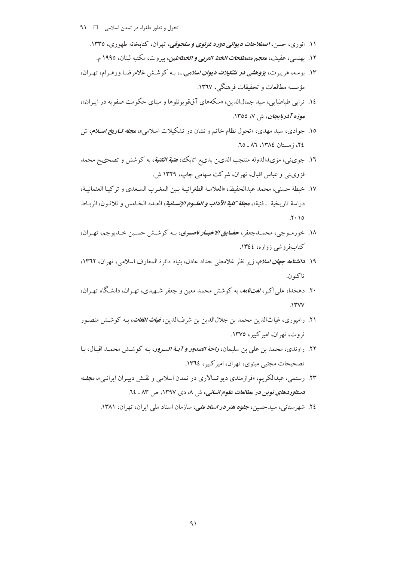- ۱۱. انوري، حسن، *اصطلاحات ديواني دوره غزنوي و سلجوقي*، تهران، كتابخانه طهوري، ۱۳۳۵.
	- ١٢. بهنسي، عفيف، معجم م*صطلحات الخط العربي و الخطاطين*، بيروت، مكتبه لبنان، ١٩٩٥ م.
- ۱۳. بوسه، هر سرت، پژوه*شی در تشکیلات دیوان اسلامی...*، به کوشش غلامرضا ورهرام، تهران، مؤسسه مطالعات و تحقیقات فرهنگی، ۱۳٦۷.
- ١٤. تراپي طباطيايي، سيد جمالالدين، «سكههاي آق قو يونلوها و ميناي حكومت صفو به در اييران»، موزه آذرب*ا*یجان، ش ۷، ۱۳۵۵.
- ۱۵. جوادی، سید مهدی، «تحول نظام خاتم و نشان در تشکیلات اسلامی»، *مجله تـاریخ اسـلام*، ش ٢٤، زمستان ١٣٨٤، ٨٦ ـ ٦٥.
- ۱۲. جوی.نی، مؤی،االدوله منتجب الدین بدیء اتابک، *عتبة الکتبة*، به کوشش و تصحیح محمد قزوي نبي و عباس اقبال، تهران، شركت سهامي چاپ، ١٣٢٩ ش.
- ١٧. خيطة حسني، محمد عبدالحفيظ، «العلامية الطغرائيـة بـين المغيرب السبعدي و تركيبا العثمانيـة، دراسة تاريخية \_فنية»، م*جلة كلية الآداب و العليوم الإنسانية*، العيدد الخيامس و ثلاثيون، الرياط  $Y \cdot 10$
- ١٨. خورمـوجي، محمـدجعفر، حقــ*ايق الاخبــار ناصـري*، بـه كوشــش حسـين خـديوجم، تهـران، کتابفروشی زواره، ١٣٤٤.
- ۱۹. *دانشنامه جهان اسلام، زير* نظر غلامعلى حداد عادل، بنياد دائرة المعارف اسلامي، تهران، ۱۳٦۲، تاكنون.
- ۲۰. دهخدا، علی اکبر، *لغتiاهه*، به کوشش محمد معین و جعفر شـهیدی، تهـران، دانشـگاه تهـران،  $.1$ ۳۷۷
- ۲۱. رامپوري، غياثالدين محمد بن جلالالدين بن شرفالدين، *غياث اللغات*، بـه كوشـش منصـور ثروت، تھران، امیر کیبر، ۱۳۷۵.
- ۲۲. راوندي، محمد بن علي بن سليمان، *راحة الصدور و آيــة السـرور*، بـه كوشــش محمـد اقبـال، بـا تصحیحات مجتبی مینوی، تهران، امیر کبیر، ١٣٦٤.
- ۲۳. رستمي، عبدالكريم، «فرازمندي ديوانسالاري در تمدن اسلامي و نقـش دبيـران ايرانـي»، م*جلـه* دستاوردهای نوین در مطالعات علوم انسانی، ش ۸، دی ۱۳۹۷، ص ۸۳ ـ ۲٤.
	- ٢٤. شهرستانی، سیدحسین، ج*لوه هنر در اسناد ملی،* سازمان اسناد مل<sub>ی</sub> ایران، تهران، ١٣٨١.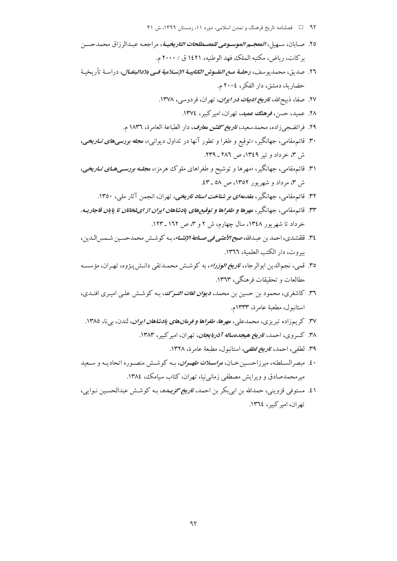- ۹۲ هـ احسلنامه تاریخ فرهنگ و تمدن اسلامی، دوره ۱۱، زمستان ۱۳۹۹، ش ۴۱
- ٢٥. صـابان، سـهـل، *المعجــم الموســوعي للمصــطلحات التاريخيــة*، مراجعـه عـــدالر زاق محمدحســن بر كات، رياض، مكتبه الملك فهد الوطنيه، ١٤٢١ ق / ٢٠٠٠ م.
- ٢٦. صديق، محمديو سف، **رح***لــة مــع النقــوش الكتابيــة الإســلامية فــي بلادالبنغــال***، دراســة تأريخيــة** حضارية، دمشق، دار الفكر، ٢٠٠٤ م.
	- ۲۷. صفا، ذبیحالله، *تاویخ ادبیات در ایران*، تهران، فردوسی، ۱۳۷۸.
		- ٢٨. عميد، حسن، فوهنگ عميد، تهران، امير كبير، ١٣٧٤.
	- ٢٩. فرائضجي زاده، محمدسعيد، ت*اريخ گلشن معارف*، دار الطباعة العامرة، ١٨٣٦ م.
- ۳۰. قائم.مقامی، جهانگیر، «توقیع و طغرا و تطور آنها در تداول دیوانی»، م*جله بررسیهای تـاریخی*، ش ٣، خرداد و تير ١٣٤٩، ص ٢٨٦ ـ ٢٣٩.
- ۳۱. قائم.مقامی، جهانگیر، «مهرها و توشیح و طغراهای ملوک هرمز»، م*جلــه بورىســیهــای تــاریخی*، ش ۳، مرداد و شهریور ۱۳۵۲، ص ۵۸ ـ ٤٣.
	- ۳۲. قائم مقامی، جهانگیر، *مقدمهای بو شناخت اسناد تاریخی،* تهران، انجمن آثار ملی، ۱۳۵۰.
- ۳۳. قائم مقامی، جهانگیر، مهره*ا و طغراها و توقیع های یادشاهان ایران از ایلخانان تا پایان قاجاریـه،* خرداد تا شهر یور ۱۳٤۸، سال جهارم، ش ۲ و ۳، ص ۱۲۲ ـ ۱۲۳.
- ٣٤. قلقشندي، احمد بن عبــدالله، ص*بح الأعشى في صـناعة الإنشــاء*، بـه كوشــش محمدحسـين شـمس|لــدين، سروت، دار الكتب العلمية، ١٣٦٦.
- ٣٥. قمي، نجمالدين ابوالرجاء، *تاريخ الوزراء*، به كوشش محمـدتقي دانـش پـژوه، تهـران، مؤسسـه مطالعات و تحقیقات فرهنگی، ۱۳٦۳.
- ۳٦. کاشغری، محمود بن حسین بن محمد، *دیوان لغات التـرک*، بـه کوشـش علـی امیـری افنـدی، استانبول، مطعبة عامرة، ١٣٣٣م.
	- ۳۷. کریمزاده تبریزی، محمدعلی، م*هرها، طغراها و فرمانهای پادشاهان ایران*، لندن، بی نا، ۱۳۸0.
		- ۳۸. کسروی، احمد، ت*اریخ هیجدهساله آذربایجان*، تهران، امیرکبیر، ۱۳۸۳.
			- ٣٩. لطفي، احمد، ت*اويخ لطفي*، استانبول، مطبعة عامرة، ١٣٢٨.
- ۰ ٤. مبصر السـلطنه، ميرزاحسـين خـان، مو*اســلات طهــوان*، بــه كوشــش منصــوره اتحاديــه و ســعيد میر محمدصادق و ویرایش مصطفی زمانی نیا، تهران، کتاب سیامک، ۱۳۸٤.
- ٤١. مستوفى قزويني، حمدالله بن ابي بكر بن احمد، *تاريخ گزيـده*، بـه كوشـش عبدالحسـين نـوايي، تهران، اميركبير، ١٣٦٤.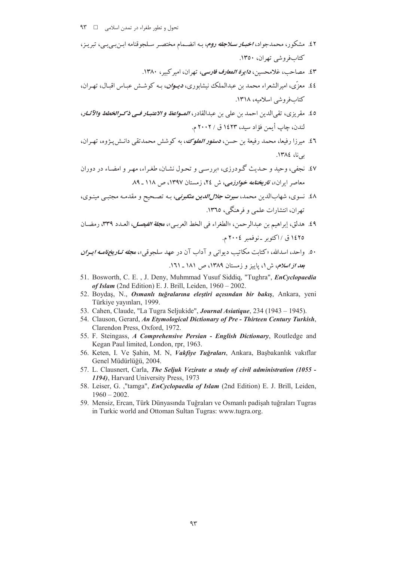- ٤٢. مشكور، محمدجواد، *اخبـار سـلاجقه روم*، بـه انضـمام مختصـر سـلجوقنامه ابـنبـيبـي، تبريـز، کتاب فروشی تھران، ۱۳۵۰.
	- ٤٣. مصاحب، غلامحسين، د*ايوة المعارف فارسي*، تهران، امير كبير، ١٣٨٠.
- ٤٤. معزّى، اميرالشعراء محمد بن عبدالملك نيشابوري، ديـــوان، بــه كوشــش عبــاس اقبــال، تهــران، كتاب في وشي إسلاميه، ١٣١٨.
- ٤٥. مقريزي، تقي الدين احمد بن علي بن عبدالقادر، *المسواعظ و الاعتبـار فـي ذكـرالخطط والآثـار*، لندن، چاپ أيمن فؤاد سيد، ١٤٢٣ ق / ٢٠٠٢ م.
- ٤٦. میرزا رفیعا، محمد رفیعة بن حسن، *دستور الملوک*، به کوشش محمدتقی دانـش2پـژوه، تهـران، یے نا، ١٣٨٤.
- ٤٧. نجفي، وحيد و حـديث گـودرزي، «بررسـي و تحـول نشـان، طغـراء، مهـر و امضـاء در دوران معاصر ابران»، ت*اریخنامه خوارزمی،* ش ٢٤، زمستان ١٣٩٧، ص ١١٨ ـ ٨٩.
- ٤٨. نسوي، شهابالدين محمد، *سيرت جلالالدين منكبرني*، بـه تصـحيح و مقدمـه مجتبـي مينـوي، تهران، انتشارات علمي و فرهنگي، ١٣٦٥.
- ٤٩. هدلق، إبراهيم بن عبدالرحمن، «الطغراء في الخط العربي»، م*جلة الفيصل*، العـدد ٣٣٩، رمضـان ١٤٢٥ ق / اكتوبر -نوفمبر ٢٠٠٤ م.
- ۵۰. واحد، اسدالله، «کتابت مکاتیب دیوان<sub>س</sub> و آداب آن در عهد سلحوق<sub>ب»</sub>، م*حله تبار مخزنامیه ایبران* ب*عد از اسلام، ش ۱، پاییز و زمستان ۱۳۸۹، ص ۱۸۱ ـ ۱*۳۱.
- 51. Bosworth, C. E., J. Deny, Muhmmad Yusuf Siddiq, "Tughra", EnCyclopaedia of Islam (2nd Edition) E. J. Brill, Leiden,  $1960 - 2002$ .
- 52. Boydaş, N., Osmanlı tuğralarına eleştiri açısından bir bakış, Ankara, yeni Türkiye yayınları, 1999.
- 53. Cahen, Claude, "La Tugra Seljukide", Journal Asiatique, 234 (1943 1945).
- 54. Clauson, Gerard, An Etymological Dictionary of Pre Thirteen Century Turkish, Clarendon Press, Oxford, 1972.
- 55. F. Steingass, A Comprehensive Persian English Dictionary, Routledge and Kegan Paul limited, London, rpr, 1963.
- 56. Keten, I. Ve Şahin, M. N, Vakfiye Tuğraları, Ankara, Başbakanlık vakıflar Genel Müdürlüğü, 2004.
- 57. L. Clausnert, Carla, The Seljuk Vezirate a study of civil administration (1055 -1194), Harvard University Press, 1973
- 58. Leiser, G. ,"tamga", *EnCyclopaedia of Islam* (2nd Edition) E. J. Brill, Leiden,  $1960 - 2002.$
- 59. Mensiz, Ercan, Türk Dünyasında Tuğraları ve Osmanlı padişah tuğraları Tugras in Turkic world and Ottoman Sultan Tugras: www.tugra.org.